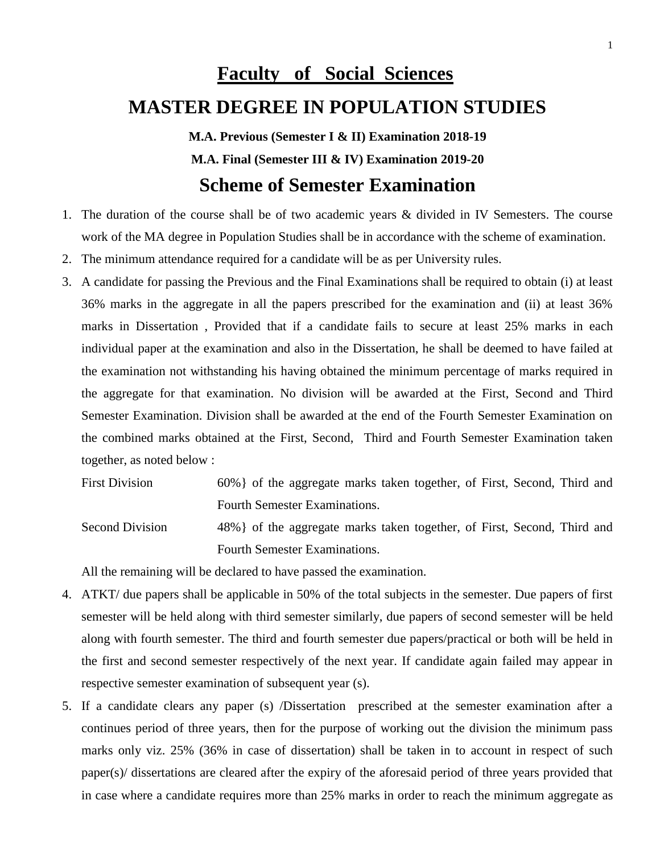# **Faculty of Social Sciences**

# **MASTER DEGREE IN POPULATION STUDIES**

**M.A. Previous (Semester I & II) Examination 2018-19 M.A. Final (Semester III & IV) Examination 2019-20**

# **Scheme of Semester Examination**

- 1. The duration of the course shall be of two academic years & divided in IV Semesters. The course work of the MA degree in Population Studies shall be in accordance with the scheme of examination.
- 2. The minimum attendance required for a candidate will be as per University rules.
- 3. A candidate for passing the Previous and the Final Examinations shall be required to obtain (i) at least 36% marks in the aggregate in all the papers prescribed for the examination and (ii) at least 36% marks in Dissertation , Provided that if a candidate fails to secure at least 25% marks in each individual paper at the examination and also in the Dissertation, he shall be deemed to have failed at the examination not withstanding his having obtained the minimum percentage of marks required in the aggregate for that examination. No division will be awarded at the First, Second and Third Semester Examination. Division shall be awarded at the end of the Fourth Semester Examination on the combined marks obtained at the First, Second, Third and Fourth Semester Examination taken together, as noted below :
	- First Division 60% of the aggregate marks taken together, of First, Second, Third and Fourth Semester Examinations.
	- Second Division 48% of the aggregate marks taken together, of First, Second, Third and Fourth Semester Examinations.

All the remaining will be declared to have passed the examination.

- 4. ATKT/ due papers shall be applicable in 50% of the total subjects in the semester. Due papers of first semester will be held along with third semester similarly, due papers of second semester will be held along with fourth semester. The third and fourth semester due papers/practical or both will be held in the first and second semester respectively of the next year. If candidate again failed may appear in respective semester examination of subsequent year (s).
- 5. If a candidate clears any paper (s) /Dissertation prescribed at the semester examination after a continues period of three years, then for the purpose of working out the division the minimum pass marks only viz. 25% (36% in case of dissertation) shall be taken in to account in respect of such paper(s)/ dissertations are cleared after the expiry of the aforesaid period of three years provided that in case where a candidate requires more than 25% marks in order to reach the minimum aggregate as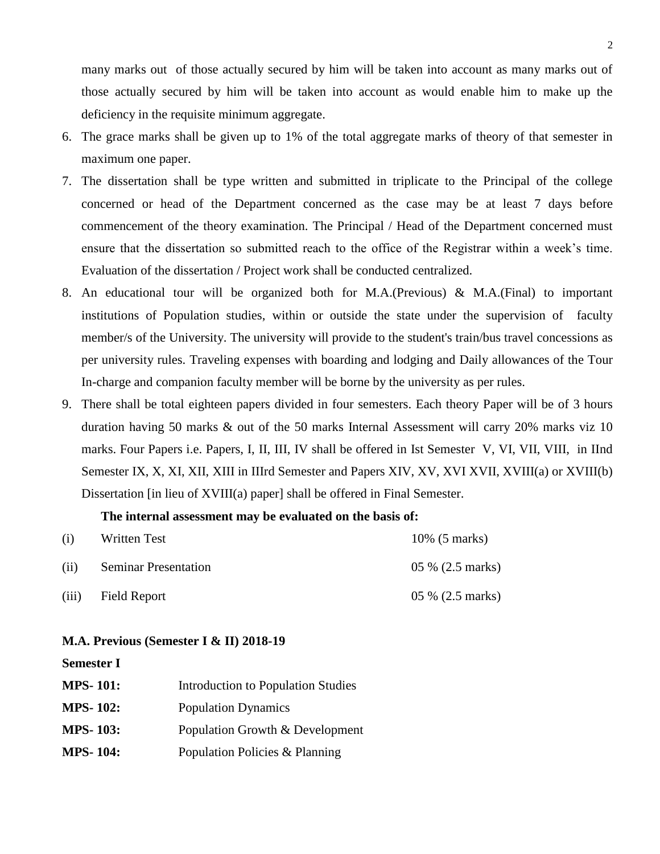many marks out of those actually secured by him will be taken into account as many marks out of those actually secured by him will be taken into account as would enable him to make up the deficiency in the requisite minimum aggregate.

- 6. The grace marks shall be given up to 1% of the total aggregate marks of theory of that semester in maximum one paper.
- 7. The dissertation shall be type written and submitted in triplicate to the Principal of the college concerned or head of the Department concerned as the case may be at least 7 days before commencement of the theory examination. The Principal / Head of the Department concerned must ensure that the dissertation so submitted reach to the office of the Registrar within a week's time. Evaluation of the dissertation / Project work shall be conducted centralized.
- 8. An educational tour will be organized both for M.A.(Previous) & M.A.(Final) to important institutions of Population studies, within or outside the state under the supervision of faculty member/s of the University. The university will provide to the student's train/bus travel concessions as per university rules. Traveling expenses with boarding and lodging and Daily allowances of the Tour In-charge and companion faculty member will be borne by the university as per rules.
- 9. There shall be total eighteen papers divided in four semesters. Each theory Paper will be of 3 hours duration having 50 marks & out of the 50 marks Internal Assessment will carry 20% marks viz 10 marks. Four Papers i.e. Papers, I, II, III, IV shall be offered in Ist Semester V, VI, VII, VIII, in IInd Semester IX, X, XI, XII, XIII in IIIrd Semester and Papers XIV, XV, XVI XVII, XVIII(a) or XVIII(b) Dissertation [in lieu of XVIII(a) paper] shall be offered in Final Semester.

#### **The internal assessment may be evaluated on the basis of:**

| (i)   | Written Test                | 10% (5 marks)    |
|-------|-----------------------------|------------------|
| (ii)  | <b>Seminar Presentation</b> | 05 % (2.5 marks) |
| (iii) | Field Report                | 05 % (2.5 marks) |

#### **M.A. Previous (Semester I & II) 2018-19**

#### **Semester I**

| <b>MPS-101:</b> | <b>Introduction to Population Studies</b> |
|-----------------|-------------------------------------------|
| <b>MPS-102:</b> | <b>Population Dynamics</b>                |
| <b>MPS-103:</b> | Population Growth & Development           |
| <b>MPS-104:</b> | Population Policies & Planning            |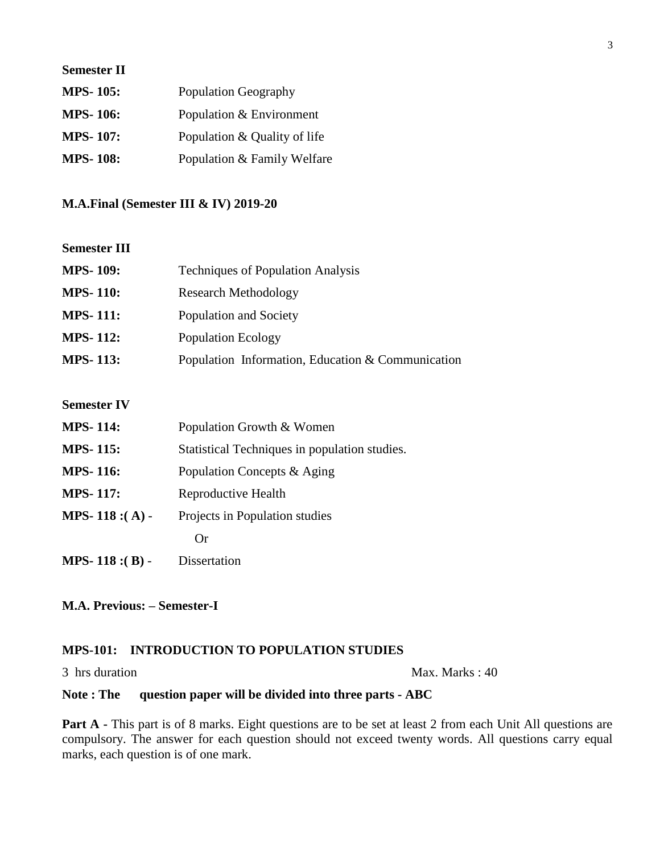| <b>Semester II</b> |                              |
|--------------------|------------------------------|
| <b>MPS-105:</b>    | Population Geography         |
| <b>MPS-106:</b>    | Population & Environment     |
| <b>MPS-107:</b>    | Population & Quality of life |
| <b>MPS-108:</b>    | Population & Family Welfare  |

#### **M.A.Final (Semester III & IV) 2019-20**

#### **Semester III**

| <b>MPS-109:</b> | <b>Techniques of Population Analysis</b>          |
|-----------------|---------------------------------------------------|
| <b>MPS-110:</b> | Research Methodology                              |
| <b>MPS-111:</b> | Population and Society                            |
| <b>MPS-112:</b> | <b>Population Ecology</b>                         |
| <b>MPS-113:</b> | Population Information, Education & Communication |

### **Semester IV**

| <b>MPS-114:</b>    | Population Growth & Women                     |
|--------------------|-----------------------------------------------|
| <b>MPS-115:</b>    | Statistical Techniques in population studies. |
| <b>MPS-116:</b>    | Population Concepts & Aging                   |
| <b>MPS-117:</b>    | Reproductive Health                           |
| MPS-118 :(A) -     | Projects in Population studies                |
|                    | Or                                            |
| MPS-118 :( $B$ ) - | Dissertation                                  |

### **M.A. Previous: – Semester-I**

#### **MPS-101: INTRODUCTION TO POPULATION STUDIES**

#### 3 hrs duration Max. Marks : 40

### **Note : The question paper will be divided into three parts - ABC**

**Part A** - This part is of 8 marks. Eight questions are to be set at least 2 from each Unit All questions are compulsory. The answer for each question should not exceed twenty words. All questions carry equal marks, each question is of one mark.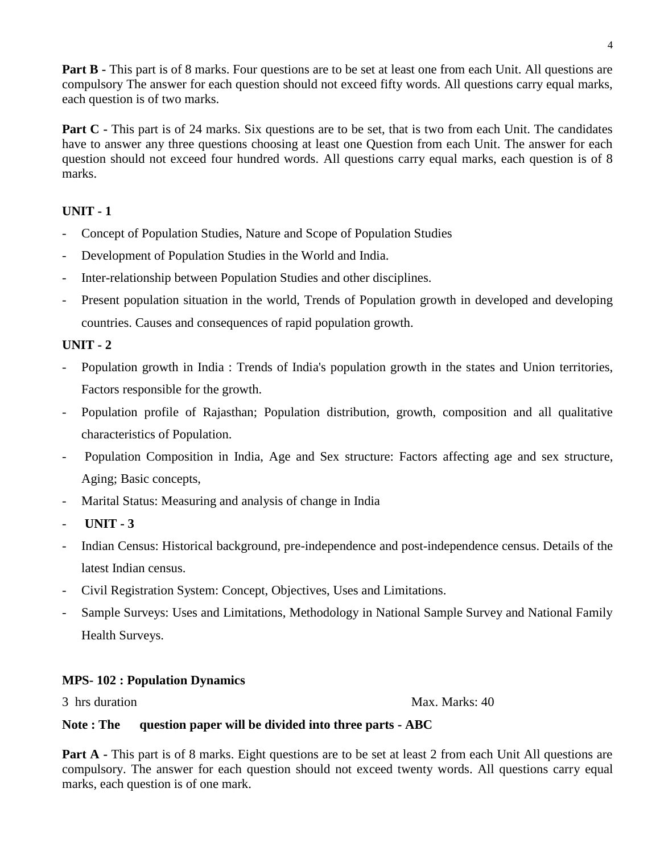**Part B** - This part is of 8 marks. Four questions are to be set at least one from each Unit. All questions are compulsory The answer for each question should not exceed fifty words. All questions carry equal marks, each question is of two marks.

**Part C** - This part is of 24 marks. Six questions are to be set, that is two from each Unit. The candidates have to answer any three questions choosing at least one Question from each Unit. The answer for each question should not exceed four hundred words. All questions carry equal marks, each question is of 8 marks.

# **UNIT - 1**

- Concept of Population Studies, Nature and Scope of Population Studies
- Development of Population Studies in the World and India.
- Inter-relationship between Population Studies and other disciplines.
- Present population situation in the world, Trends of Population growth in developed and developing countries. Causes and consequences of rapid population growth.

# **UNIT - 2**

- Population growth in India : Trends of India's population growth in the states and Union territories, Factors responsible for the growth.
- Population profile of Rajasthan; Population distribution, growth, composition and all qualitative characteristics of Population.
- Population Composition in India, Age and Sex structure: Factors affecting age and sex structure, Aging; Basic concepts,
- Marital Status: Measuring and analysis of change in India
- **UNIT - 3**
- Indian Census: Historical background, pre-independence and post-independence census. Details of the latest Indian census.
- Civil Registration System: Concept, Objectives, Uses and Limitations.
- Sample Surveys: Uses and Limitations, Methodology in National Sample Survey and National Family Health Surveys.

### **MPS- 102 : Population Dynamics**

3 hrs duration Max. Marks: 40

#### **Note : The question paper will be divided into three parts - ABC**

**Part A** - This part is of 8 marks. Eight questions are to be set at least 2 from each Unit All questions are compulsory. The answer for each question should not exceed twenty words. All questions carry equal marks, each question is of one mark.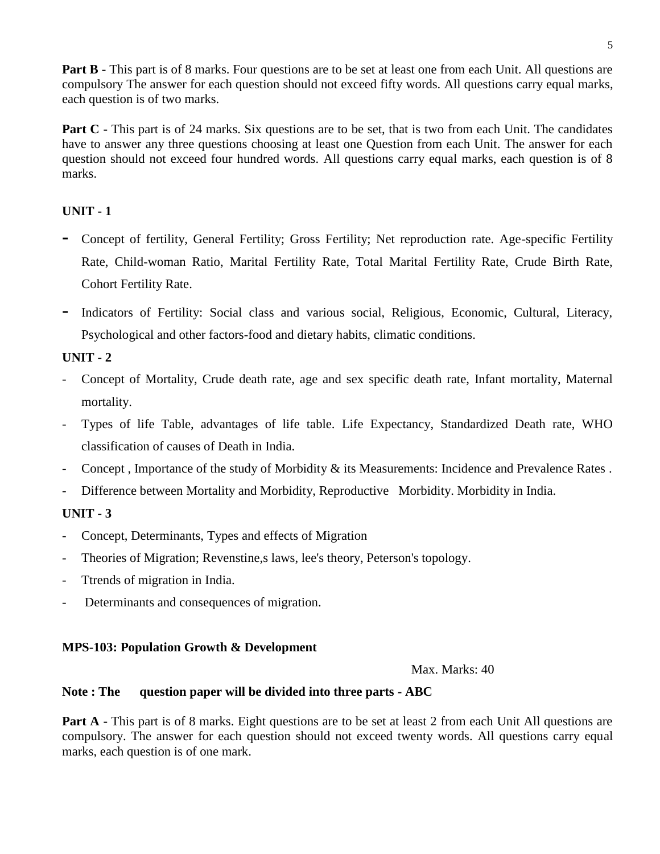**Part B** - This part is of 8 marks. Four questions are to be set at least one from each Unit. All questions are compulsory The answer for each question should not exceed fifty words. All questions carry equal marks, each question is of two marks.

**Part C** - This part is of 24 marks. Six questions are to be set, that is two from each Unit. The candidates have to answer any three questions choosing at least one Question from each Unit. The answer for each question should not exceed four hundred words. All questions carry equal marks, each question is of 8 marks.

# **UNIT - 1**

- **-** Concept of fertility, General Fertility; Gross Fertility; Net reproduction rate. Age-specific Fertility Rate, Child-woman Ratio, Marital Fertility Rate, Total Marital Fertility Rate, Crude Birth Rate, Cohort Fertility Rate.
- **-** Indicators of Fertility: Social class and various social, Religious, Economic, Cultural, Literacy, Psychological and other factors-food and dietary habits, climatic conditions.

# **UNIT - 2**

- Concept of Mortality, Crude death rate, age and sex specific death rate, Infant mortality, Maternal mortality.
- Types of life Table, advantages of life table. Life Expectancy, Standardized Death rate, WHO classification of causes of Death in India.
- Concept , Importance of the study of Morbidity & its Measurements: Incidence and Prevalence Rates .
- Difference between Mortality and Morbidity, Reproductive Morbidity. Morbidity in India.

# **UNIT - 3**

- Concept, Determinants, Types and effects of Migration
- Theories of Migration; Revenstine,s laws, lee's theory, Peterson's topology.
- Ttrends of migration in India.
- Determinants and consequences of migration.

### **MPS-103: Population Growth & Development**

Max. Marks: 40

#### **Note : The question paper will be divided into three parts - ABC**

**Part A** - This part is of 8 marks. Eight questions are to be set at least 2 from each Unit All questions are compulsory. The answer for each question should not exceed twenty words. All questions carry equal marks, each question is of one mark.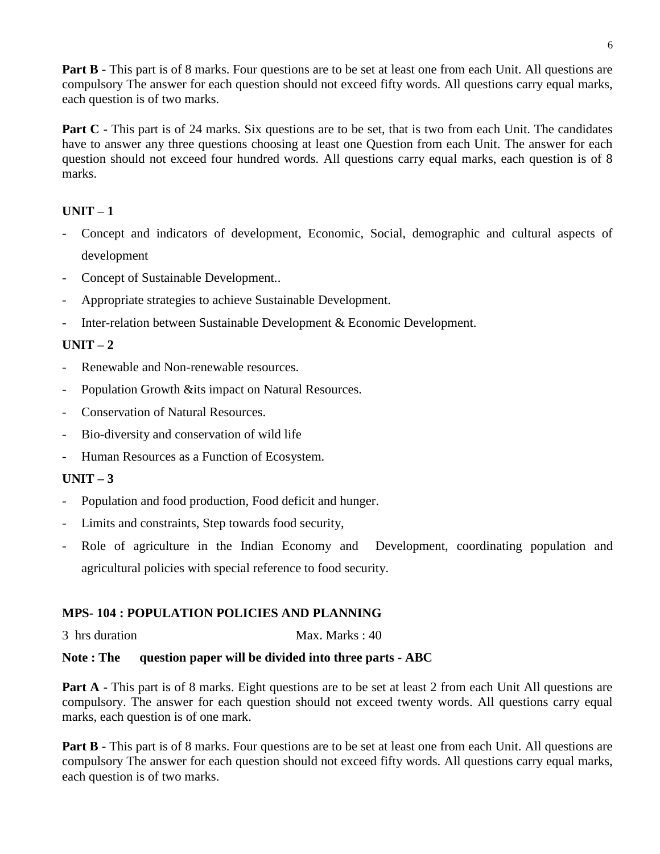**Part B** - This part is of 8 marks. Four questions are to be set at least one from each Unit. All questions are compulsory The answer for each question should not exceed fifty words. All questions carry equal marks, each question is of two marks.

Part C - This part is of 24 marks. Six questions are to be set, that is two from each Unit. The candidates have to answer any three questions choosing at least one Question from each Unit. The answer for each question should not exceed four hundred words. All questions carry equal marks, each question is of 8 marks.

# **UNIT – 1**

- Concept and indicators of development, Economic, Social, demographic and cultural aspects of development
- Concept of Sustainable Development..
- Appropriate strategies to achieve Sustainable Development.
- Inter-relation between Sustainable Development & Economic Development.

# **UNIT – 2**

- Renewable and Non-renewable resources.
- Population Growth &its impact on Natural Resources.
- Conservation of Natural Resources.
- Bio-diversity and conservation of wild life
- Human Resources as a Function of Ecosystem.

### **UNIT – 3**

- Population and food production, Food deficit and hunger.
- Limits and constraints, Step towards food security,
- Role of agriculture in the Indian Economy and Development, coordinating population and agricultural policies with special reference to food security.

### **MPS- 104 : POPULATION POLICIES AND PLANNING**

3 hrs duration Max. Marks : 40

### **Note : The question paper will be divided into three parts - ABC**

**Part A** - This part is of 8 marks. Eight questions are to be set at least 2 from each Unit All questions are compulsory. The answer for each question should not exceed twenty words. All questions carry equal marks, each question is of one mark.

**Part B** - This part is of 8 marks. Four questions are to be set at least one from each Unit. All questions are compulsory The answer for each question should not exceed fifty words. All questions carry equal marks, each question is of two marks.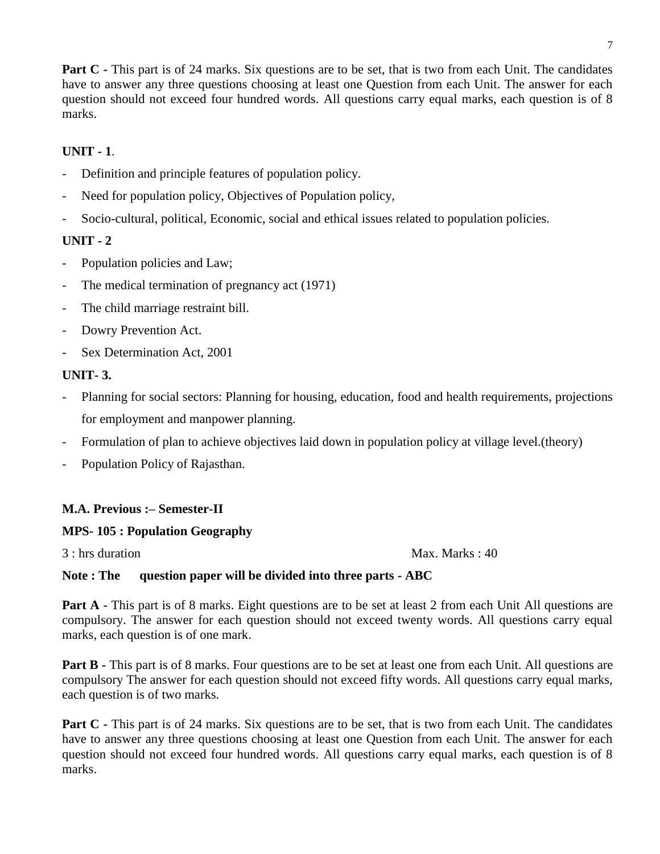**Part C** - This part is of 24 marks. Six questions are to be set, that is two from each Unit. The candidates have to answer any three questions choosing at least one Question from each Unit. The answer for each question should not exceed four hundred words. All questions carry equal marks, each question is of 8 marks.

# **UNIT - 1**.

- Definition and principle features of population policy.
- Need for population policy, Objectives of Population policy,
- Socio-cultural, political, Economic, social and ethical issues related to population policies.

# **UNIT - 2**

- Population policies and Law;
- The medical termination of pregnancy act (1971)
- The child marriage restraint bill.
- Dowry Prevention Act.
- Sex Determination Act, 2001

### **UNIT- 3.**

- Planning for social sectors: Planning for housing, education, food and health requirements, projections for employment and manpower planning.
- Formulation of plan to achieve objectives laid down in population policy at village level.(theory)
- Population Policy of Rajasthan.

### **M.A. Previous :– Semester-II**

### **MPS- 105 : Population Geography**

3 : hrs duration Max. Marks : 40

### **Note : The question paper will be divided into three parts - ABC**

**Part A** - This part is of 8 marks. Eight questions are to be set at least 2 from each Unit All questions are compulsory. The answer for each question should not exceed twenty words. All questions carry equal marks, each question is of one mark.

**Part B** - This part is of 8 marks. Four questions are to be set at least one from each Unit. All questions are compulsory The answer for each question should not exceed fifty words. All questions carry equal marks, each question is of two marks.

**Part C** - This part is of 24 marks. Six questions are to be set, that is two from each Unit. The candidates have to answer any three questions choosing at least one Question from each Unit. The answer for each question should not exceed four hundred words. All questions carry equal marks, each question is of 8 marks.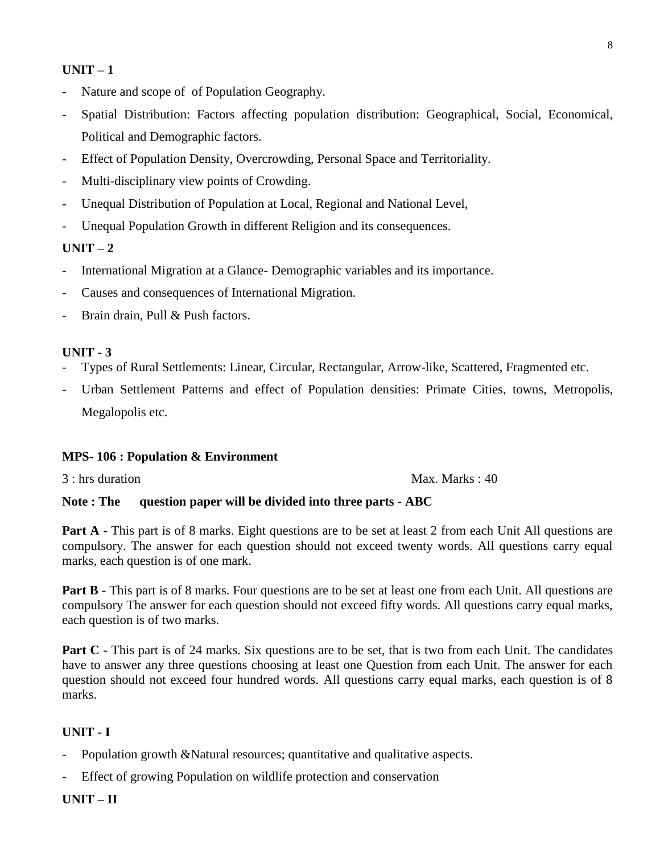- Nature and scope of of Population Geography.
- Spatial Distribution: Factors affecting population distribution: Geographical, Social, Economical, Political and Demographic factors.
- Effect of Population Density, Overcrowding, Personal Space and Territoriality.
- Multi-disciplinary view points of Crowding.
- Unequal Distribution of Population at Local, Regional and National Level,
- Unequal Population Growth in different Religion and its consequences.

#### $UNIT - 2$

- International Migration at a Glance- Demographic variables and its importance.
- Causes and consequences of International Migration.
- Brain drain, Pull & Push factors.

#### **UNIT - 3**

- Types of Rural Settlements: Linear, Circular, Rectangular, Arrow-like, Scattered, Fragmented etc.
- Urban Settlement Patterns and effect of Population densities: Primate Cities, towns, Metropolis, Megalopolis etc.

#### **MPS- 106 : Population & Environment**

3 : hrs duration Max. Marks : 40

#### **Note : The question paper will be divided into three parts - ABC**

**Part A** - This part is of 8 marks. Eight questions are to be set at least 2 from each Unit All questions are compulsory. The answer for each question should not exceed twenty words. All questions carry equal marks, each question is of one mark.

**Part B** - This part is of 8 marks. Four questions are to be set at least one from each Unit. All questions are compulsory The answer for each question should not exceed fifty words. All questions carry equal marks, each question is of two marks.

**Part C** - This part is of 24 marks. Six questions are to be set, that is two from each Unit. The candidates have to answer any three questions choosing at least one Question from each Unit. The answer for each question should not exceed four hundred words. All questions carry equal marks, each question is of 8 marks.

#### **UNIT - I**

- Population growth &Natural resources; quantitative and qualitative aspects.
- Effect of growing Population on wildlife protection and conservation

#### **UNIT – II**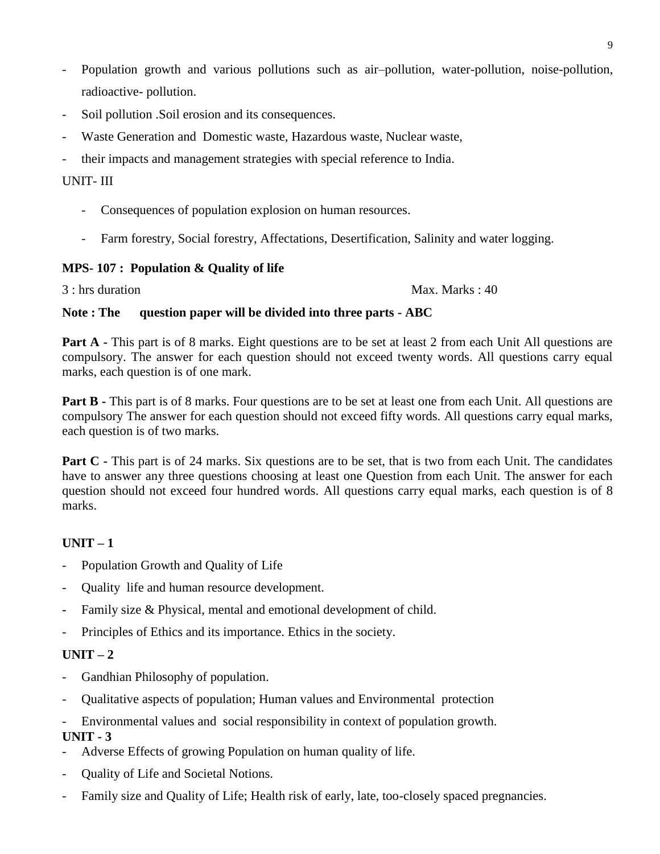- Population growth and various pollutions such as air–pollution, water-pollution, noise-pollution, radioactive- pollution.
- Soil pollution .Soil erosion and its consequences.
- Waste Generation and Domestic waste, Hazardous waste, Nuclear waste,
- their impacts and management strategies with special reference to India.

## UNIT- III

- Consequences of population explosion on human resources.
- Farm forestry, Social forestry, Affectations, Desertification, Salinity and water logging.

### **MPS- 107 : Population & Quality of life**

3 : hrs duration Max. Marks : 40

### **Note : The question paper will be divided into three parts - ABC**

**Part A** - This part is of 8 marks. Eight questions are to be set at least 2 from each Unit All questions are compulsory. The answer for each question should not exceed twenty words. All questions carry equal marks, each question is of one mark.

**Part B** - This part is of 8 marks. Four questions are to be set at least one from each Unit. All questions are compulsory The answer for each question should not exceed fifty words. All questions carry equal marks, each question is of two marks.

**Part C** - This part is of 24 marks. Six questions are to be set, that is two from each Unit. The candidates have to answer any three questions choosing at least one Question from each Unit. The answer for each question should not exceed four hundred words. All questions carry equal marks, each question is of 8 marks.

# $UNIT - 1$

- Population Growth and Quality of Life
- Quality life and human resource development.
- **-** Family size & Physical, mental and emotional development of child.
- Principles of Ethics and its importance. Ethics in the society.

### $UNIT - 2$

- Gandhian Philosophy of population.
- Qualitative aspects of population; Human values and Environmental protection
- Environmental values and social responsibility in context of population growth.

- Adverse Effects of growing Population on human quality of life.
- Quality of Life and Societal Notions.
- Family size and Quality of Life; Health risk of early, late, too-closely spaced pregnancies.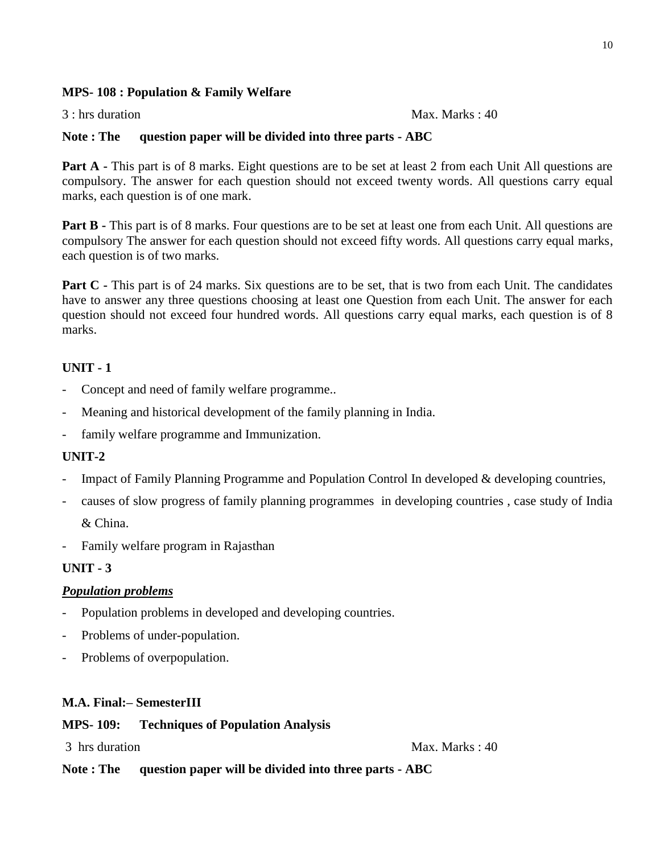### **MPS- 108 : Population & Family Welfare**

3 : hrs duration Max. Marks : 40

#### **Note : The question paper will be divided into three parts - ABC**

**Part A** - This part is of 8 marks. Eight questions are to be set at least 2 from each Unit All questions are compulsory. The answer for each question should not exceed twenty words. All questions carry equal marks, each question is of one mark.

**Part B** - This part is of 8 marks. Four questions are to be set at least one from each Unit. All questions are compulsory The answer for each question should not exceed fifty words. All questions carry equal marks, each question is of two marks.

**Part C** - This part is of 24 marks. Six questions are to be set, that is two from each Unit. The candidates have to answer any three questions choosing at least one Question from each Unit. The answer for each question should not exceed four hundred words. All questions carry equal marks, each question is of 8 marks.

### **UNIT - 1**

- Concept and need of family welfare programme...
- Meaning and historical development of the family planning in India.
- family welfare programme and Immunization.

#### **UNIT-2**

- Impact of Family Planning Programme and Population Control In developed & developing countries,
- causes of slow progress of family planning programmes in developing countries , case study of India & China.
- Family welfare program in Rajasthan

#### **UNIT - 3**

#### *Population problems*

- Population problems in developed and developing countries.
- Problems of under-population.
- Problems of overpopulation.

#### **M.A. Final:– SemesterIII**

#### **MPS- 109: Techniques of Population Analysis**

3 hrs duration Max. Marks : 40

**Note : The question paper will be divided into three parts - ABC**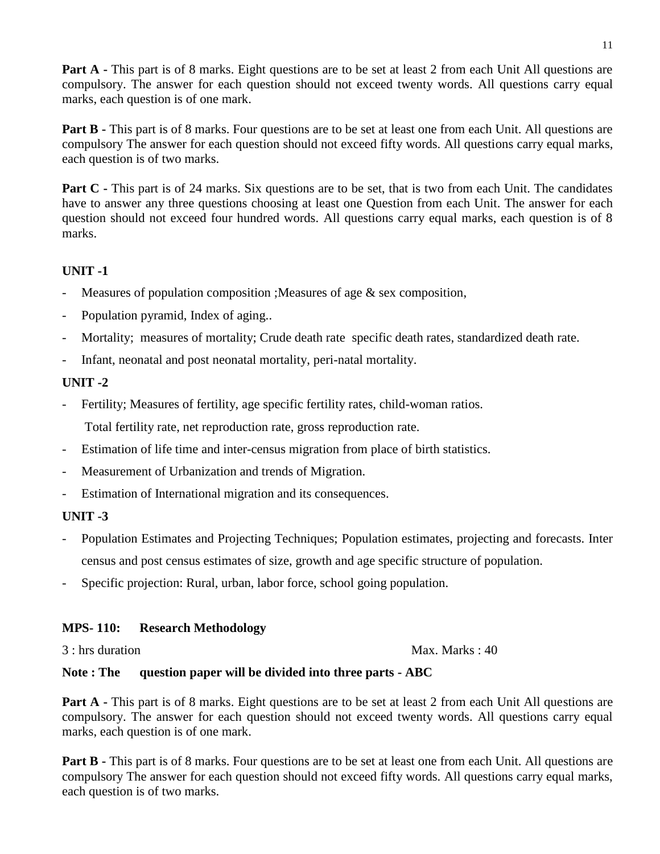**Part A** - This part is of 8 marks. Eight questions are to be set at least 2 from each Unit All questions are compulsory. The answer for each question should not exceed twenty words. All questions carry equal marks, each question is of one mark.

**Part B** - This part is of 8 marks. Four questions are to be set at least one from each Unit. All questions are compulsory The answer for each question should not exceed fifty words. All questions carry equal marks, each question is of two marks.

**Part C** - This part is of 24 marks. Six questions are to be set, that is two from each Unit. The candidates have to answer any three questions choosing at least one Question from each Unit. The answer for each question should not exceed four hundred words. All questions carry equal marks, each question is of 8 marks.

# **UNIT -1**

- Measures of population composition ; Measures of age  $\&$  sex composition,
- Population pyramid, Index of aging...
- Mortality; measures of mortality; Crude death rate specific death rates, standardized death rate.
- Infant, neonatal and post neonatal mortality, peri-natal mortality.

### **UNIT -2**

Fertility; Measures of fertility, age specific fertility rates, child-woman ratios.

Total fertility rate, net reproduction rate, gross reproduction rate.

- Estimation of life time and inter-census migration from place of birth statistics.
- Measurement of Urbanization and trends of Migration.
- Estimation of International migration and its consequences.

### **UNIT -3**

- Population Estimates and Projecting Techniques; Population estimates, projecting and forecasts. Inter census and post census estimates of size, growth and age specific structure of population.
- Specific projection: Rural, urban, labor force, school going population.

### **MPS- 110: Research Methodology**

3 : hrs duration Max. Marks : 40

### **Note : The question paper will be divided into three parts - ABC**

**Part A** - This part is of 8 marks. Eight questions are to be set at least 2 from each Unit All questions are compulsory. The answer for each question should not exceed twenty words. All questions carry equal marks, each question is of one mark.

**Part B** - This part is of 8 marks. Four questions are to be set at least one from each Unit. All questions are compulsory The answer for each question should not exceed fifty words. All questions carry equal marks, each question is of two marks.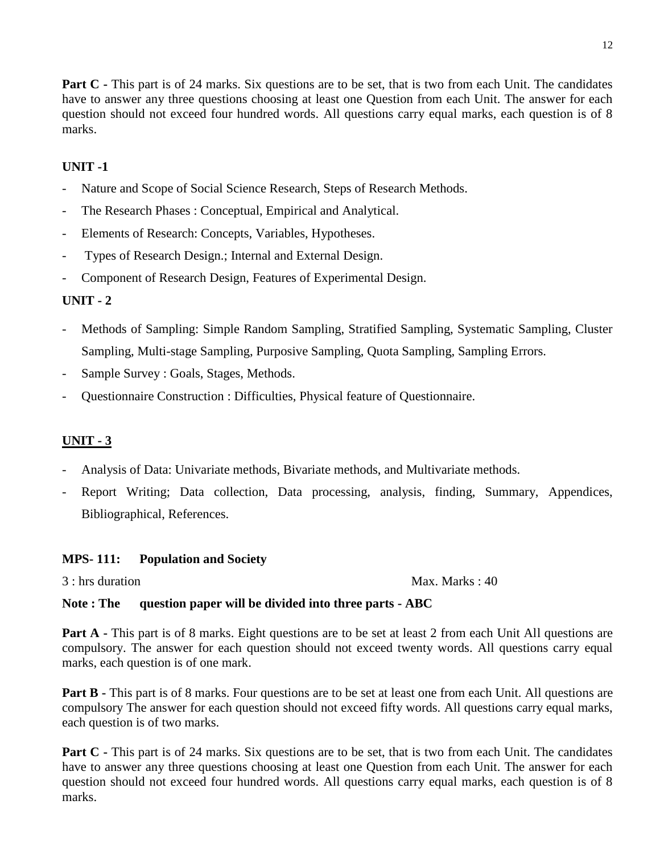**Part C** - This part is of 24 marks. Six questions are to be set, that is two from each Unit. The candidates have to answer any three questions choosing at least one Question from each Unit. The answer for each question should not exceed four hundred words. All questions carry equal marks, each question is of 8 marks.

# **UNIT -1**

- Nature and Scope of Social Science Research, Steps of Research Methods.
- The Research Phases : Conceptual, Empirical and Analytical.
- Elements of Research: Concepts, Variables, Hypotheses.
- Types of Research Design.; Internal and External Design.
- Component of Research Design, Features of Experimental Design.

# **UNIT - 2**

- Methods of Sampling: Simple Random Sampling, Stratified Sampling, Systematic Sampling, Cluster Sampling, Multi-stage Sampling, Purposive Sampling, Quota Sampling, Sampling Errors.
- Sample Survey : Goals, Stages, Methods.
- Questionnaire Construction : Difficulties, Physical feature of Questionnaire.

# **UNIT - 3**

- Analysis of Data: Univariate methods, Bivariate methods, and Multivariate methods.
- Report Writing; Data collection, Data processing, analysis, finding, Summary, Appendices, Bibliographical, References.

### **MPS- 111: Population and Society**

3 : hrs duration Max. Marks : 40

# **Note : The question paper will be divided into three parts - ABC**

**Part A** - This part is of 8 marks. Eight questions are to be set at least 2 from each Unit All questions are compulsory. The answer for each question should not exceed twenty words. All questions carry equal marks, each question is of one mark.

**Part B** - This part is of 8 marks. Four questions are to be set at least one from each Unit. All questions are compulsory The answer for each question should not exceed fifty words. All questions carry equal marks, each question is of two marks.

**Part C** - This part is of 24 marks. Six questions are to be set, that is two from each Unit. The candidates have to answer any three questions choosing at least one Question from each Unit. The answer for each question should not exceed four hundred words. All questions carry equal marks, each question is of 8 marks.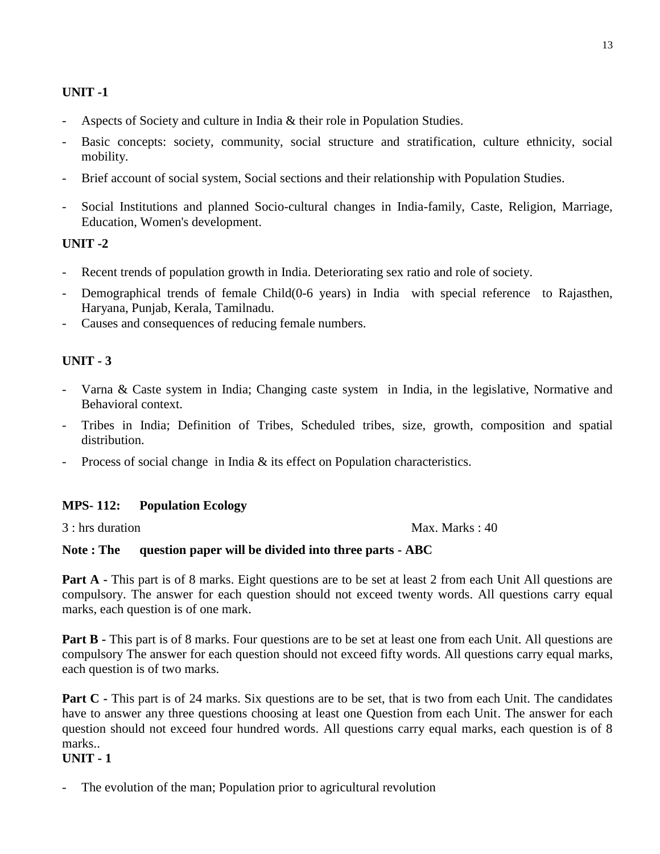- Aspects of Society and culture in India & their role in Population Studies.
- Basic concepts: society, community, social structure and stratification, culture ethnicity, social mobility.
- Brief account of social system, Social sections and their relationship with Population Studies.
- Social Institutions and planned Socio-cultural changes in India-family, Caste, Religion, Marriage, Education, Women's development.

### **UNIT -2**

- Recent trends of population growth in India. Deteriorating sex ratio and role of society.
- Demographical trends of female Child(0-6 years) in India with special reference to Rajasthen, Haryana, Punjab, Kerala, Tamilnadu.
- Causes and consequences of reducing female numbers.

### **UNIT - 3**

- Varna & Caste system in India; Changing caste system in India, in the legislative, Normative and Behavioral context.
- Tribes in India; Definition of Tribes, Scheduled tribes, size, growth, composition and spatial distribution.
- Process of social change in India & its effect on Population characteristics.

#### **MPS- 112: Population Ecology**

3 : hrs duration Max. Marks : 40

#### **Note : The question paper will be divided into three parts - ABC**

**Part A** - This part is of 8 marks. Eight questions are to be set at least 2 from each Unit All questions are compulsory. The answer for each question should not exceed twenty words. All questions carry equal marks, each question is of one mark.

**Part B** - This part is of 8 marks. Four questions are to be set at least one from each Unit. All questions are compulsory The answer for each question should not exceed fifty words. All questions carry equal marks, each question is of two marks.

**Part C** - This part is of 24 marks. Six questions are to be set, that is two from each Unit. The candidates have to answer any three questions choosing at least one Question from each Unit. The answer for each question should not exceed four hundred words. All questions carry equal marks, each question is of 8 marks..

#### **UNIT - 1**

The evolution of the man; Population prior to agricultural revolution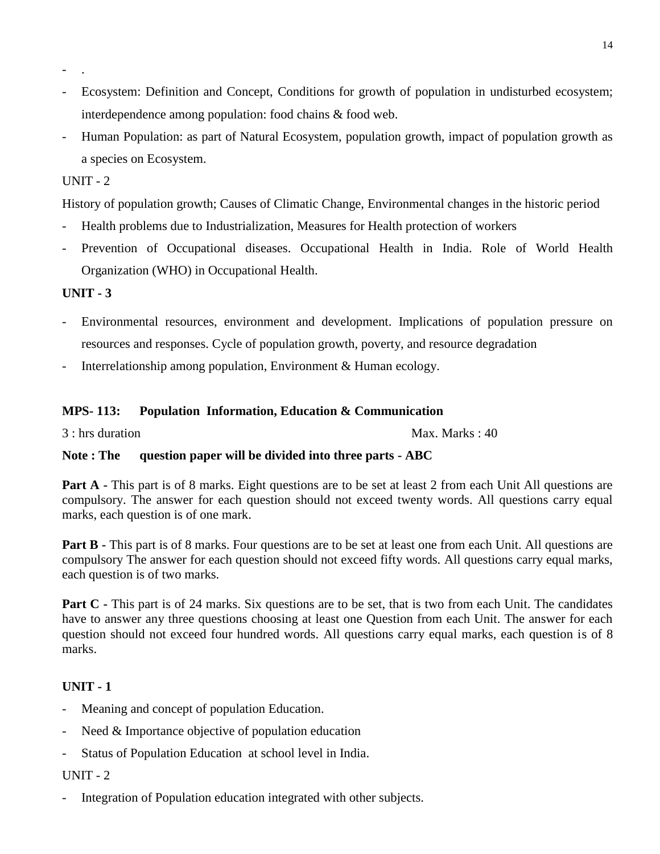- Ecosystem: Definition and Concept, Conditions for growth of population in undisturbed ecosystem; interdependence among population: food chains & food web.
- Human Population: as part of Natural Ecosystem, population growth, impact of population growth as a species on Ecosystem.

- .

History of population growth; Causes of Climatic Change, Environmental changes in the historic period

- Health problems due to Industrialization, Measures for Health protection of workers
- Prevention of Occupational diseases. Occupational Health in India. Role of World Health Organization (WHO) in Occupational Health.

### **UNIT - 3**

- Environmental resources, environment and development. Implications of population pressure on resources and responses. Cycle of population growth, poverty, and resource degradation
- Interrelationship among population, Environment & Human ecology.

#### **MPS- 113: Population Information, Education & Communication**

3 : hrs duration Max. Marks : 40

#### **Note : The question paper will be divided into three parts - ABC**

**Part A** - This part is of 8 marks. Eight questions are to be set at least 2 from each Unit All questions are compulsory. The answer for each question should not exceed twenty words. All questions carry equal marks, each question is of one mark.

**Part B** - This part is of 8 marks. Four questions are to be set at least one from each Unit. All questions are compulsory The answer for each question should not exceed fifty words. All questions carry equal marks, each question is of two marks.

**Part C** - This part is of 24 marks. Six questions are to be set, that is two from each Unit. The candidates have to answer any three questions choosing at least one Question from each Unit. The answer for each question should not exceed four hundred words. All questions carry equal marks, each question is of 8 marks.

#### **UNIT - 1**

- Meaning and concept of population Education.
- Need & Importance objective of population education
- Status of Population Education at school level in India.

#### UNIT - 2

Integration of Population education integrated with other subjects.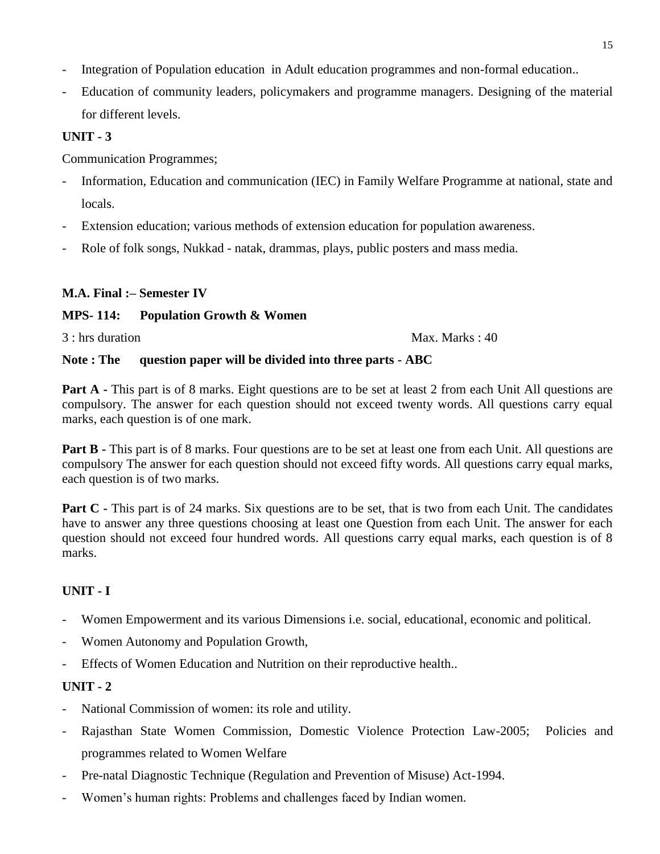- Integration of Population education in Adult education programmes and non-formal education..
- Education of community leaders, policymakers and programme managers. Designing of the material for different levels.

Communication Programmes;

- Information, Education and communication (IEC) in Family Welfare Programme at national, state and locals.
- Extension education; various methods of extension education for population awareness.
- Role of folk songs, Nukkad natak, drammas, plays, public posters and mass media.

# **M.A. Final :– Semester IV**

# **MPS- 114: Population Growth & Women**

3 : hrs duration Max. Marks : 40

### **Note : The question paper will be divided into three parts - ABC**

**Part A** - This part is of 8 marks. Eight questions are to be set at least 2 from each Unit All questions are compulsory. The answer for each question should not exceed twenty words. All questions carry equal marks, each question is of one mark.

**Part B** - This part is of 8 marks. Four questions are to be set at least one from each Unit. All questions are compulsory The answer for each question should not exceed fifty words. All questions carry equal marks, each question is of two marks.

**Part C** - This part is of 24 marks. Six questions are to be set, that is two from each Unit. The candidates have to answer any three questions choosing at least one Question from each Unit. The answer for each question should not exceed four hundred words. All questions carry equal marks, each question is of 8 marks.

# **UNIT - I**

- Women Empowerment and its various Dimensions i.e. social, educational, economic and political.
- Women Autonomy and Population Growth,
- Effects of Women Education and Nutrition on their reproductive health..

- National Commission of women: its role and utility.
- Rajasthan State Women Commission, Domestic Violence Protection Law-2005; Policies and programmes related to Women Welfare
- Pre-natal Diagnostic Technique (Regulation and Prevention of Misuse) Act-1994.
- Women's human rights: Problems and challenges faced by Indian women.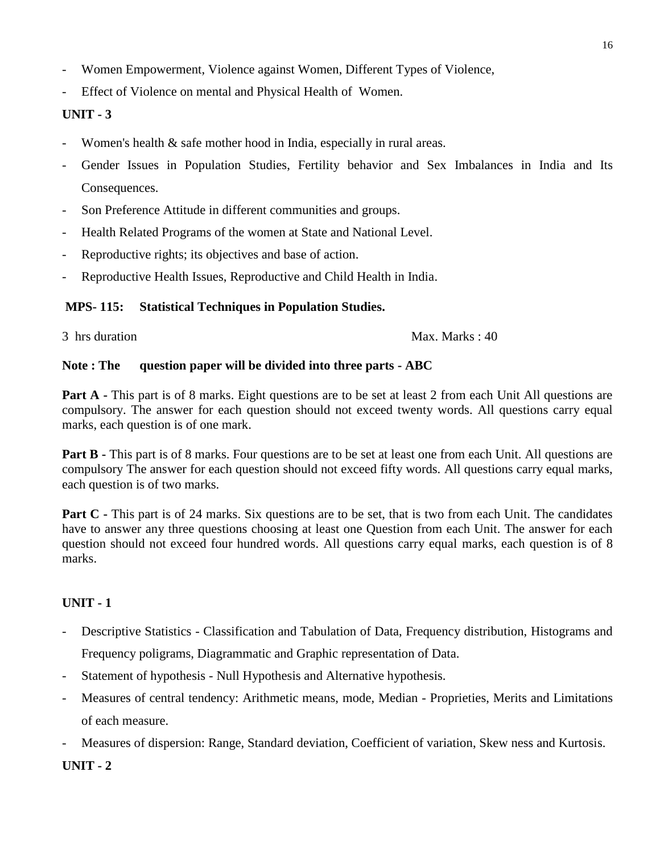- Women Empowerment, Violence against Women, Different Types of Violence,
- Effect of Violence on mental and Physical Health of Women.

- Women's health & safe mother hood in India, especially in rural areas.
- Gender Issues in Population Studies, Fertility behavior and Sex Imbalances in India and Its Consequences.
- Son Preference Attitude in different communities and groups.
- Health Related Programs of the women at State and National Level.
- Reproductive rights; its objectives and base of action.
- Reproductive Health Issues, Reproductive and Child Health in India.

# **MPS- 115: Statistical Techniques in Population Studies.**

3 hrs duration Max. Marks : 40

### **Note : The question paper will be divided into three parts - ABC**

**Part A** - This part is of 8 marks. Eight questions are to be set at least 2 from each Unit All questions are compulsory. The answer for each question should not exceed twenty words. All questions carry equal marks, each question is of one mark.

**Part B** - This part is of 8 marks. Four questions are to be set at least one from each Unit. All questions are compulsory The answer for each question should not exceed fifty words. All questions carry equal marks, each question is of two marks.

**Part C** - This part is of 24 marks. Six questions are to be set, that is two from each Unit. The candidates have to answer any three questions choosing at least one Question from each Unit. The answer for each question should not exceed four hundred words. All questions carry equal marks, each question is of 8 marks.

# **UNIT - 1**

- Descriptive Statistics Classification and Tabulation of Data, Frequency distribution, Histograms and Frequency poligrams, Diagrammatic and Graphic representation of Data.
- Statement of hypothesis Null Hypothesis and Alternative hypothesis.
- Measures of central tendency: Arithmetic means, mode, Median Proprieties, Merits and Limitations of each measure.
- Measures of dispersion: Range, Standard deviation, Coefficient of variation, Skew ness and Kurtosis.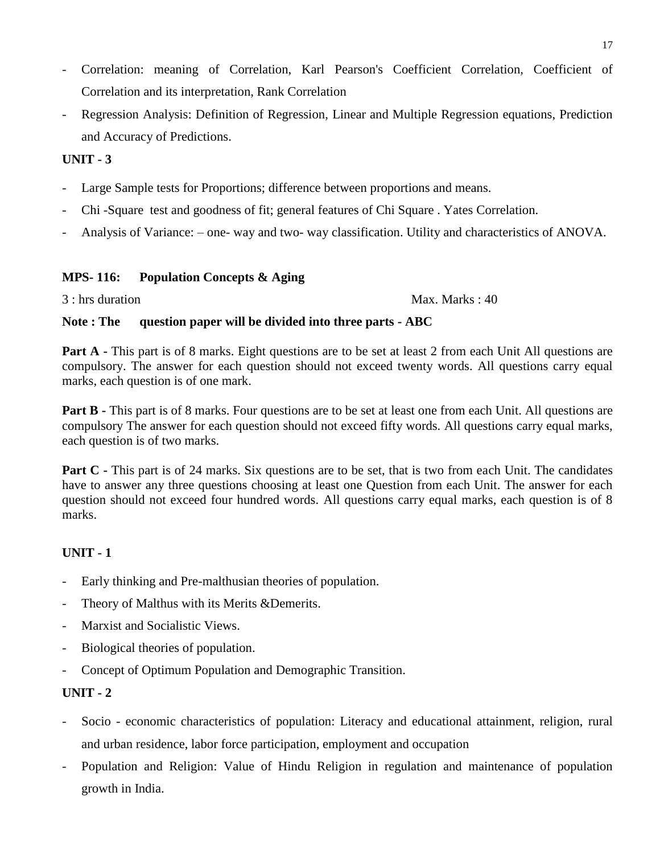- Correlation: meaning of Correlation, Karl Pearson's Coefficient Correlation, Coefficient of Correlation and its interpretation, Rank Correlation
- Regression Analysis: Definition of Regression, Linear and Multiple Regression equations, Prediction and Accuracy of Predictions.

- Large Sample tests for Proportions; difference between proportions and means.
- Chi -Square test and goodness of fit; general features of Chi Square . Yates Correlation.
- Analysis of Variance: one- way and two- way classification. Utility and characteristics of ANOVA.

#### **MPS- 116: Population Concepts & Aging**

3 : hrs duration Max. Marks : 40

#### **Note : The question paper will be divided into three parts - ABC**

**Part A** - This part is of 8 marks. Eight questions are to be set at least 2 from each Unit All questions are compulsory. The answer for each question should not exceed twenty words. All questions carry equal marks, each question is of one mark.

**Part B** - This part is of 8 marks. Four questions are to be set at least one from each Unit. All questions are compulsory The answer for each question should not exceed fifty words. All questions carry equal marks, each question is of two marks.

**Part C** - This part is of 24 marks. Six questions are to be set, that is two from each Unit. The candidates have to answer any three questions choosing at least one Question from each Unit. The answer for each question should not exceed four hundred words. All questions carry equal marks, each question is of 8 marks.

### **UNIT - 1**

- Early thinking and Pre-malthusian theories of population.
- Theory of Malthus with its Merits &Demerits.
- Marxist and Socialistic Views.
- Biological theories of population.
- Concept of Optimum Population and Demographic Transition.

- Socio economic characteristics of population: Literacy and educational attainment, religion, rural and urban residence, labor force participation, employment and occupation
- Population and Religion: Value of Hindu Religion in regulation and maintenance of population growth in India.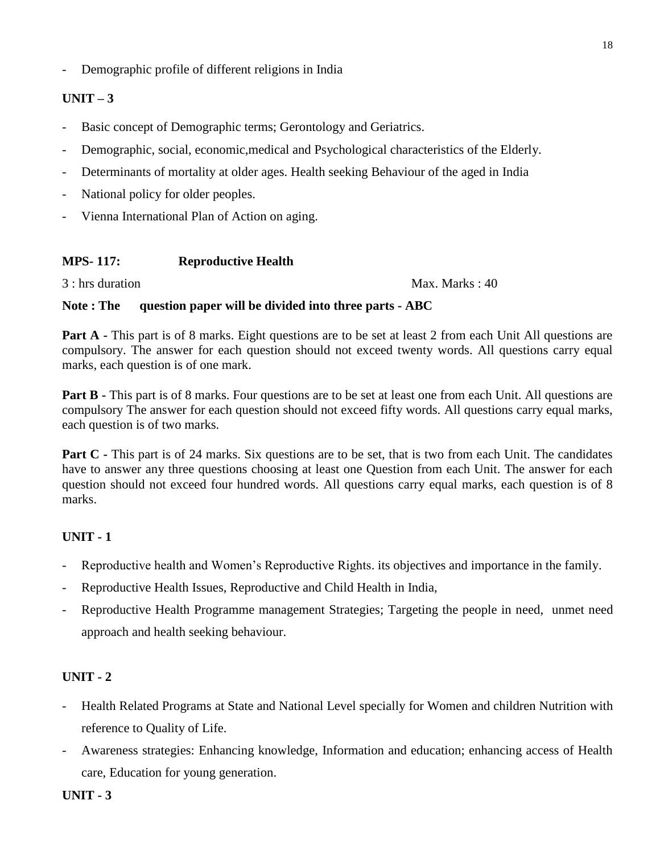- Demographic profile of different religions in India

# $UNIT-3$

- Basic concept of Demographic terms; Gerontology and Geriatrics.
- Demographic, social, economic,medical and Psychological characteristics of the Elderly.
- Determinants of mortality at older ages. Health seeking Behaviour of the aged in India
- National policy for older peoples.
- Vienna International Plan of Action on aging.

# **MPS- 117: Reproductive Health**

3 : hrs duration Max. Marks : 40

### **Note : The question paper will be divided into three parts - ABC**

**Part A** - This part is of 8 marks. Eight questions are to be set at least 2 from each Unit All questions are compulsory. The answer for each question should not exceed twenty words. All questions carry equal marks, each question is of one mark.

**Part B** - This part is of 8 marks. Four questions are to be set at least one from each Unit. All questions are compulsory The answer for each question should not exceed fifty words. All questions carry equal marks, each question is of two marks.

**Part C** - This part is of 24 marks. Six questions are to be set, that is two from each Unit. The candidates have to answer any three questions choosing at least one Question from each Unit. The answer for each question should not exceed four hundred words. All questions carry equal marks, each question is of 8 marks.

# **UNIT - 1**

- Reproductive health and Women's Reproductive Rights. its objectives and importance in the family.
- Reproductive Health Issues, Reproductive and Child Health in India,
- Reproductive Health Programme management Strategies; Targeting the people in need, unmet need approach and health seeking behaviour.

- Health Related Programs at State and National Level specially for Women and children Nutrition with reference to Quality of Life.
- Awareness strategies: Enhancing knowledge, Information and education; enhancing access of Health care, Education for young generation.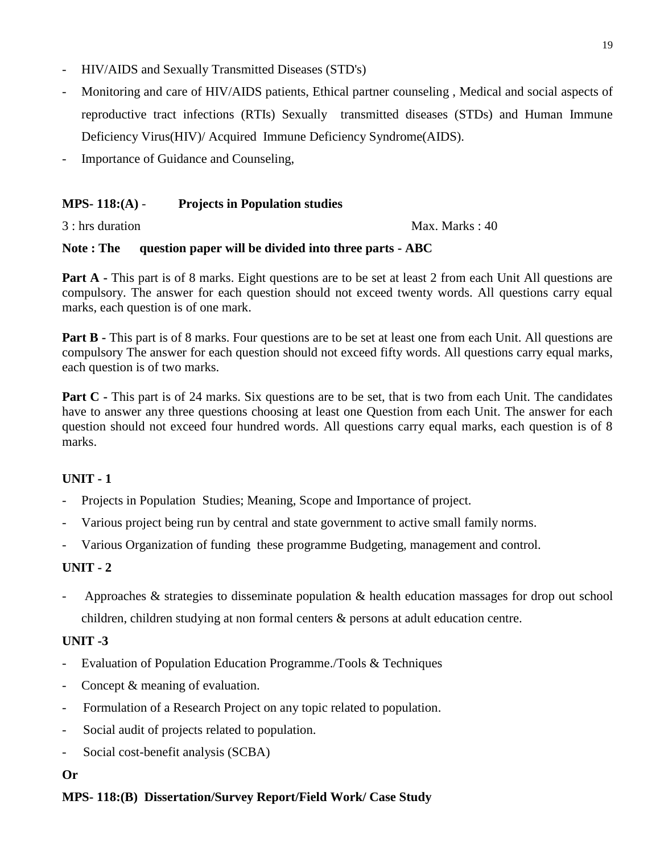- HIV/AIDS and Sexually Transmitted Diseases (STD's)
- Monitoring and care of HIV/AIDS patients, Ethical partner counseling , Medical and social aspects of reproductive tract infections (RTIs) Sexually transmitted diseases (STDs) and Human Immune Deficiency Virus(HIV)/ Acquired Immune Deficiency Syndrome(AIDS).
- Importance of Guidance and Counseling,

## **MPS- 118:(A)** - **Projects in Population studies**

3 : hrs duration Max. Marks : 40

### **Note : The question paper will be divided into three parts - ABC**

**Part A** - This part is of 8 marks. Eight questions are to be set at least 2 from each Unit All questions are compulsory. The answer for each question should not exceed twenty words. All questions carry equal marks, each question is of one mark.

**Part B** - This part is of 8 marks. Four questions are to be set at least one from each Unit. All questions are compulsory The answer for each question should not exceed fifty words. All questions carry equal marks, each question is of two marks.

**Part C** - This part is of 24 marks. Six questions are to be set, that is two from each Unit. The candidates have to answer any three questions choosing at least one Question from each Unit. The answer for each question should not exceed four hundred words. All questions carry equal marks, each question is of 8 marks.

# **UNIT - 1**

- Projects in Population Studies; Meaning, Scope and Importance of project.
- Various project being run by central and state government to active small family norms.
- Various Organization of funding these programme Budgeting, management and control.

# **UNIT - 2**

Approaches  $\&$  strategies to disseminate population  $\&$  health education massages for drop out school children, children studying at non formal centers & persons at adult education centre.

# **UNIT -3**

- Evaluation of Population Education Programme./Tools & Techniques
- Concept & meaning of evaluation.
- Formulation of a Research Project on any topic related to population.
- Social audit of projects related to population.
- Social cost-benefit analysis (SCBA)

### **Or**

### **MPS- 118:(B) Dissertation/Survey Report/Field Work/ Case Study**